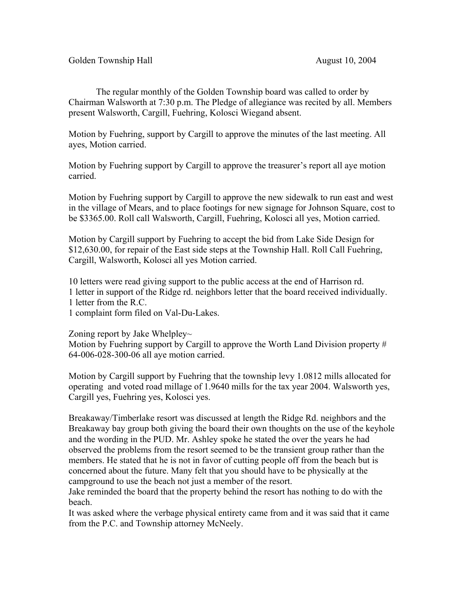The regular monthly of the Golden Township board was called to order by Chairman Walsworth at 7:30 p.m. The Pledge of allegiance was recited by all. Members present Walsworth, Cargill, Fuehring, Kolosci Wiegand absent.

Motion by Fuehring, support by Cargill to approve the minutes of the last meeting. All ayes, Motion carried.

Motion by Fuehring support by Cargill to approve the treasurer's report all aye motion carried.

Motion by Fuehring support by Cargill to approve the new sidewalk to run east and west in the village of Mears, and to place footings for new signage for Johnson Square, cost to be \$3365.00. Roll call Walsworth, Cargill, Fuehring, Kolosci all yes, Motion carried.

Motion by Cargill support by Fuehring to accept the bid from Lake Side Design for \$12,630.00, for repair of the East side steps at the Township Hall. Roll Call Fuehring, Cargill, Walsworth, Kolosci all yes Motion carried.

10 letters were read giving support to the public access at the end of Harrison rd. 1 letter in support of the Ridge rd. neighbors letter that the board received individually. 1 letter from the R.C.

1 complaint form filed on Val-Du-Lakes.

Zoning report by Jake Whelpley~

Motion by Fuehring support by Cargill to approve the Worth Land Division property # 64-006-028-300-06 all aye motion carried.

Motion by Cargill support by Fuehring that the township levy 1.0812 mills allocated for operating and voted road millage of 1.9640 mills for the tax year 2004. Walsworth yes, Cargill yes, Fuehring yes, Kolosci yes.

Breakaway/Timberlake resort was discussed at length the Ridge Rd. neighbors and the Breakaway bay group both giving the board their own thoughts on the use of the keyhole and the wording in the PUD. Mr. Ashley spoke he stated the over the years he had observed the problems from the resort seemed to be the transient group rather than the members. He stated that he is not in favor of cutting people off from the beach but is concerned about the future. Many felt that you should have to be physically at the campground to use the beach not just a member of the resort.

Jake reminded the board that the property behind the resort has nothing to do with the beach.

It was asked where the verbage physical entirety came from and it was said that it came from the P.C. and Township attorney McNeely.